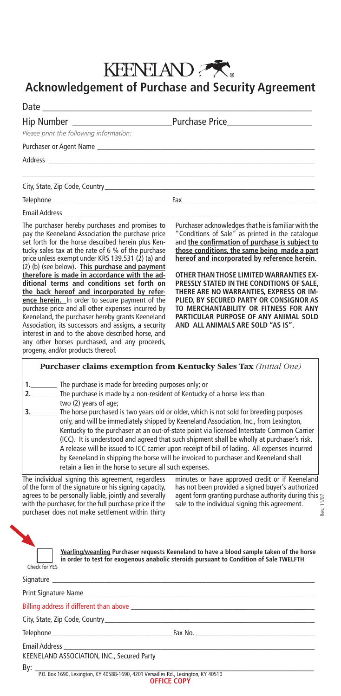## KEENELAND

## **Acknowledgement of Purchase and Security Agreement**

| Please print the following information:                                                                                                                                                                                                                                                                               |                                                                                                                                                                                                                                                           |
|-----------------------------------------------------------------------------------------------------------------------------------------------------------------------------------------------------------------------------------------------------------------------------------------------------------------------|-----------------------------------------------------------------------------------------------------------------------------------------------------------------------------------------------------------------------------------------------------------|
|                                                                                                                                                                                                                                                                                                                       |                                                                                                                                                                                                                                                           |
|                                                                                                                                                                                                                                                                                                                       |                                                                                                                                                                                                                                                           |
|                                                                                                                                                                                                                                                                                                                       | ,我们也不能在这里的时候,我们也不能在这里的时候,我们也不能会在这里的时候,我们也不能会在这里的时候,我们也不能会在这里的时候,我们也不能会在这里的时候,我们也                                                                                                                                                                          |
|                                                                                                                                                                                                                                                                                                                       |                                                                                                                                                                                                                                                           |
|                                                                                                                                                                                                                                                                                                                       |                                                                                                                                                                                                                                                           |
|                                                                                                                                                                                                                                                                                                                       |                                                                                                                                                                                                                                                           |
| The purchaser hereby purchases and promises to<br>pay the Keeneland Association the purchase price<br>set forth for the horse described herein plus Ken-<br>tucky sales tax at the rate of 6 % of the purchase<br>price unless exempt under KRS 139.531 (2) (a) and<br>(2) (b) (see below). This purchase and payment | Purchaser acknowledges that he is familiar with the<br>"Conditions of Sale" as printed in the catalogue<br>and the confirmation of purchase is subject to<br>those conditions, the same being made a part<br>hereof and incorporated by reference herein. |
| therefore is made in accordance with the ad-<br>ditional terms and conditions set forth on<br>the back hereof and incorporated by refer-<br>ence herein. In order to secure payment of the                                                                                                                            | <b>OTHER THAN THOSE LIMITED WARRANTIES EX-</b><br>PRESSLY STATED IN THE CONDITIONS OF SALE,<br>THERE ARE NO WARRANTIES, EXPRESS OR IM-<br>PLIED, BY SECURED PARTY OR CONSIGNOR AS                                                                         |

**ence herein.** In order to secure payment of the purchase price and all other expenses incurred by Keeneland, the purchaser hereby grants Keeneland Association, its successors and assigns, a security interest in and to the above described horse, and any other horses purchased, and any proceeds, progeny, and/or products thereof.

**OTHER THAN THOSE LIMITED WARRANTIES EX-PRESSLY STATED IN THE CONDITIONS OF SALE, THERE ARE NO WARRANTIES, EXPRESS OR IM-PLIED, BY SECURED PARTY OR CONSIGNOR AS TO MERCHANTABILITY OR FITNESS FOR ANY PARTICULAR PURPOSE OF ANY ANIMAL SOLD AND ALL ANIMALS ARE SOLD "AS IS".** 

**Purchaser claims exemption from Kentucky Sales Tax** *(Initial One)* The purchase is made for breeding purposes only; or **2.\_\_\_\_\_\_\_** The purchase is made by a non-resident of Kentucky of a horse less than two (2) years of age; **3.\_\_\_\_\_\_\_** The horse purchased is two years old or older, which is not sold for breeding purposes only, and will be immediately shipped by Keeneland Association, Inc., from Lexington, Kentucky to the purchaser at an out-of-state point via licensed Interstate Common Carrier

 (ICC). It is understood and agreed that such shipment shall be wholly at purchaser's risk. A release will be issued to ICC carrier upon receipt of bill of lading. All expenses incurred by Keeneland in shipping the horse will be invoiced to purchaser and Keeneland shall retain a lien in the horse to secure all such expenses.

The individual signing this agreement, regardless of the form of the signature or his signing capacity, agrees to be personally liable, jointly and severally with the purchaser, for the full purchase price if the purchaser does not make settlement within thirty

minutes or have approved credit or if Keeneland has not been provided a signed buyer's authorized agent form granting purchase authority during this  $_{\odot}$ Rev. 11/07 sale to the individual signing this agreement. δgν.

| Check for YFS |
|---------------|

**Yearling/weanling Purchaser requests Keeneland to have a blood sample taken of the horse in order to test for exogenous anabolic steroids pursuant to Condition of Sale TWELFTH**

 ${\sf Signature}$ 

Print Signature Name

Billing address if different than above

City, State, Zip Code, Country\_

Telephone \_\_\_\_\_\_\_\_\_\_\_\_\_\_\_\_\_\_\_\_\_\_\_\_\_\_\_\_\_\_\_\_Fax No. \_\_\_\_\_\_\_\_\_\_\_\_\_\_\_\_\_\_\_\_\_\_\_\_\_\_\_\_\_\_\_\_

Email Address \_\_\_\_\_\_\_\_\_\_\_\_\_\_\_\_\_\_\_\_\_\_\_\_\_\_\_\_\_\_\_\_\_\_\_\_\_\_\_\_\_\_\_\_\_\_\_\_\_\_\_\_\_\_\_\_\_\_\_\_\_\_\_\_\_\_\_

KEENELAND ASSOCIATION, INC., Secured Party

By: \_\_\_\_\_\_\_\_\_\_\_\_\_\_\_\_\_\_\_\_\_\_\_\_\_\_\_\_\_\_\_\_\_\_\_\_\_\_\_\_\_\_\_\_\_\_\_\_\_\_\_\_\_\_\_\_\_\_\_\_\_\_\_\_\_\_\_ P.O. Box 1690, Lexington, KY 40588-1690, 4201 Versailles Rd., Lexington, KY 40510 **OFFICE COPY**